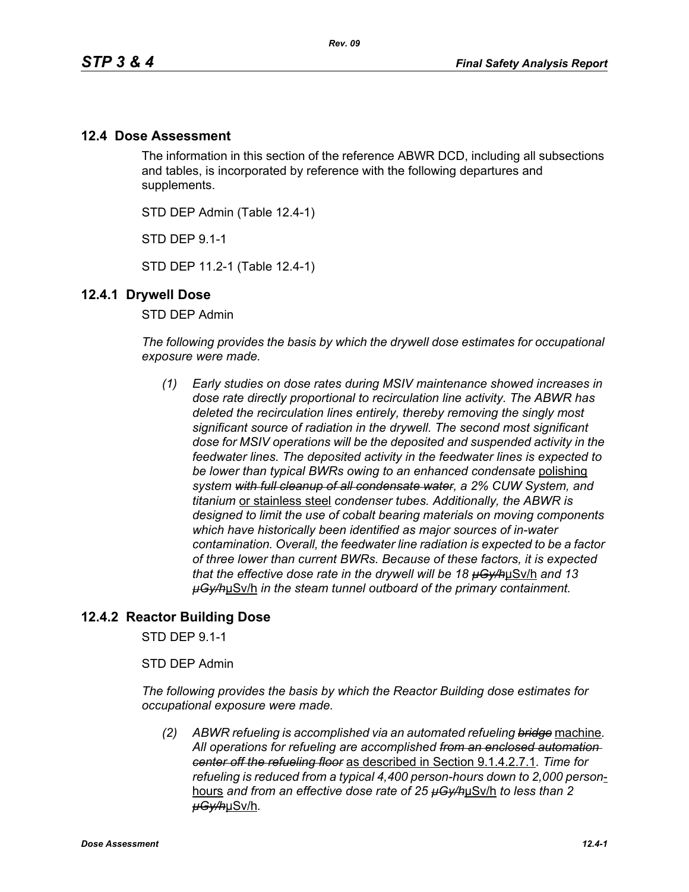## **12.4 Dose Assessment**

The information in this section of the reference ABWR DCD, including all subsections and tables, is incorporated by reference with the following departures and supplements.

STD DEP Admin (Table 12.4-1)

STD DEP 9.1-1

STD DEP 11.2-1 (Table 12.4-1)

## **12.4.1 Drywell Dose**

STD DEP Admin

*The following provides the basis by which the drywell dose estimates for occupational exposure were made.*

*(1) Early studies on dose rates during MSIV maintenance showed increases in dose rate directly proportional to recirculation line activity. The ABWR has deleted the recirculation lines entirely, thereby removing the singly most significant source of radiation in the drywell. The second most significant dose for MSIV operations will be the deposited and suspended activity in the feedwater lines. The deposited activity in the feedwater lines is expected to be lower than typical BWRs owing to an enhanced condensate* polishing *system with full cleanup of all condensate water, a 2% CUW System, and titanium* or stainless steel *condenser tubes. Additionally, the ABWR is designed to limit the use of cobalt bearing materials on moving components which have historically been identified as major sources of in-water contamination. Overall, the feedwater line radiation is expected to be a factor of three lower than current BWRs. Because of these factors, it is expected that the effective dose rate in the drywell will be 18 µGy/h*µSv/h *and 13 µGy/h*µSv/h *in the steam tunnel outboard of the primary containment.* 

## **12.4.2 Reactor Building Dose**

STD DEP 9.1-1

STD DEP Admin

*The following provides the basis by which the Reactor Building dose estimates for occupational exposure were made.*

*(2) ABWR refueling is accomplished via an automated refueling bridge* machine*. All operations for refueling are accomplished from an enclosed automation center off the refueling floor* as described in Section 9.1.4.2.7.1*. Time for refueling is reduced from a typical 4,400 person-hours down to 2,000 person*hours *and from an effective dose rate of 25 µGy/h*µSv/h *to less than 2 µGy/h*µSv/h*.*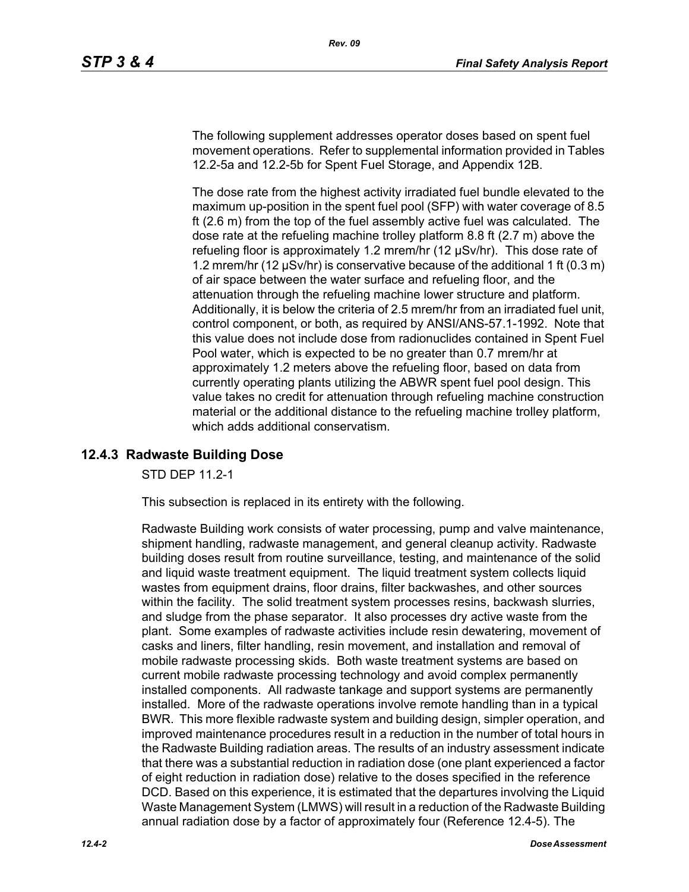The following supplement addresses operator doses based on spent fuel movement operations. Refer to supplemental information provided in Tables 12.2-5a and 12.2-5b for Spent Fuel Storage, and Appendix 12B.

The dose rate from the highest activity irradiated fuel bundle elevated to the maximum up-position in the spent fuel pool (SFP) with water coverage of 8.5 ft (2.6 m) from the top of the fuel assembly active fuel was calculated. The dose rate at the refueling machine trolley platform 8.8 ft (2.7 m) above the refueling floor is approximately 1.2 mrem/hr (12 µSv/hr). This dose rate of 1.2 mrem/hr (12 µSv/hr) is conservative because of the additional 1 ft (0.3 m) of air space between the water surface and refueling floor, and the attenuation through the refueling machine lower structure and platform. Additionally, it is below the criteria of 2.5 mrem/hr from an irradiated fuel unit, control component, or both, as required by ANSI/ANS-57.1-1992. Note that this value does not include dose from radionuclides contained in Spent Fuel Pool water, which is expected to be no greater than 0.7 mrem/hr at approximately 1.2 meters above the refueling floor, based on data from currently operating plants utilizing the ABWR spent fuel pool design. This value takes no credit for attenuation through refueling machine construction material or the additional distance to the refueling machine trolley platform, which adds additional conservatism.

# **12.4.3 Radwaste Building Dose**

STD DEP 11.2-1

This subsection is replaced in its entirety with the following.

Radwaste Building work consists of water processing, pump and valve maintenance, shipment handling, radwaste management, and general cleanup activity. Radwaste building doses result from routine surveillance, testing, and maintenance of the solid and liquid waste treatment equipment. The liquid treatment system collects liquid wastes from equipment drains, floor drains, filter backwashes, and other sources within the facility. The solid treatment system processes resins, backwash slurries, and sludge from the phase separator. It also processes dry active waste from the plant. Some examples of radwaste activities include resin dewatering, movement of casks and liners, filter handling, resin movement, and installation and removal of mobile radwaste processing skids. Both waste treatment systems are based on current mobile radwaste processing technology and avoid complex permanently installed components. All radwaste tankage and support systems are permanently installed. More of the radwaste operations involve remote handling than in a typical BWR. This more flexible radwaste system and building design, simpler operation, and improved maintenance procedures result in a reduction in the number of total hours in the Radwaste Building radiation areas. The results of an industry assessment indicate that there was a substantial reduction in radiation dose (one plant experienced a factor of eight reduction in radiation dose) relative to the doses specified in the reference DCD. Based on this experience, it is estimated that the departures involving the Liquid Waste Management System (LMWS) will result in a reduction of the Radwaste Building annual radiation dose by a factor of approximately four (Reference 12.4-5). The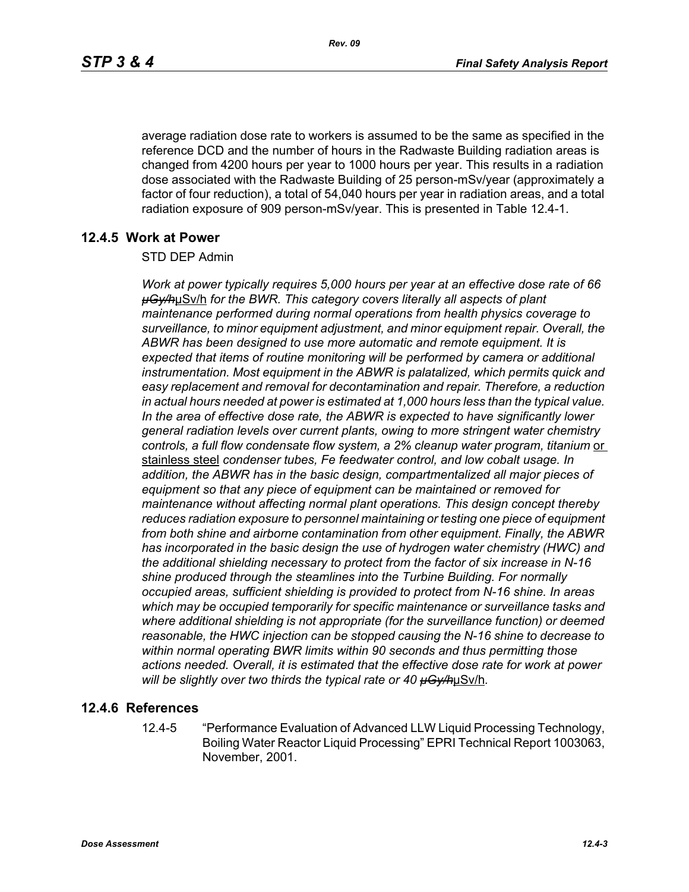average radiation dose rate to workers is assumed to be the same as specified in the reference DCD and the number of hours in the Radwaste Building radiation areas is changed from 4200 hours per year to 1000 hours per year. This results in a radiation dose associated with the Radwaste Building of 25 person-mSv/year (approximately a factor of four reduction), a total of 54,040 hours per year in radiation areas, and a total radiation exposure of 909 person-mSv/year. This is presented in Table 12.4-1.

## **12.4.5 Work at Power**

#### STD DEP Admin

*Work at power typically requires 5,000 hours per year at an effective dose rate of 66 µGy/h*µSv/h *for the BWR. This category covers literally all aspects of plant maintenance performed during normal operations from health physics coverage to surveillance, to minor equipment adjustment, and minor equipment repair. Overall, the ABWR has been designed to use more automatic and remote equipment. It is expected that items of routine monitoring will be performed by camera or additional instrumentation. Most equipment in the ABWR is palatalized, which permits quick and easy replacement and removal for decontamination and repair. Therefore, a reduction in actual hours needed at power is estimated at 1,000 hours less than the typical value. In the area of effective dose rate, the ABWR is expected to have significantly lower general radiation levels over current plants, owing to more stringent water chemistry*  controls, a full flow condensate flow system, a 2% cleanup water program, titanium or stainless steel *condenser tubes, Fe feedwater control, and low cobalt usage. In addition, the ABWR has in the basic design, compartmentalized all major pieces of equipment so that any piece of equipment can be maintained or removed for maintenance without affecting normal plant operations. This design concept thereby reduces radiation exposure to personnel maintaining or testing one piece of equipment from both shine and airborne contamination from other equipment. Finally, the ABWR has incorporated in the basic design the use of hydrogen water chemistry (HWC) and the additional shielding necessary to protect from the factor of six increase in N-16 shine produced through the steamlines into the Turbine Building. For normally occupied areas, sufficient shielding is provided to protect from N-16 shine. In areas which may be occupied temporarily for specific maintenance or surveillance tasks and where additional shielding is not appropriate (for the surveillance function) or deemed reasonable, the HWC injection can be stopped causing the N-16 shine to decrease to within normal operating BWR limits within 90 seconds and thus permitting those actions needed. Overall, it is estimated that the effective dose rate for work at power will be slightly over two thirds the typical rate or 40 µGy/h*µSv/h*.*

#### **12.4.6 References**

12.4-5 "Performance Evaluation of Advanced LLW Liquid Processing Technology, Boiling Water Reactor Liquid Processing" EPRI Technical Report 1003063, November, 2001.